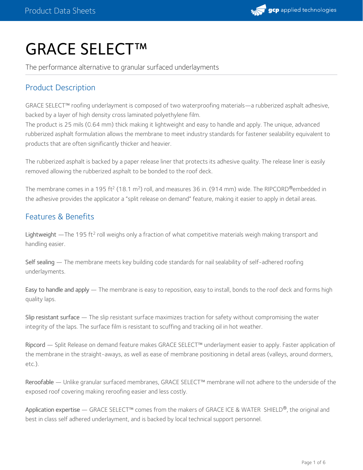

# GRACE SELECT™

The performance alternative to granular surfaced underlayments

# Product Description

GRACE SELECT™ roofing underlayment is composed of two waterproofing materials—a rubberized asphalt adhesive, backed by a layer of high density cross laminated polyethylene film.

The product is 25 mils (0.64 mm) thick making it lightweight and easy to handle and apply. The unique, advanced rubberized asphalt formulation allows the membrane to meet industry standards for fastener sealability equivalent to products that are often significantly thicker and heavier.

The rubberized asphalt is backed by a paper release liner that protects its adhesive quality. The release liner is easily removed allowing the rubberized asphalt to be bonded to the roof deck.

The membrane comes in a 195 ft<sup>2</sup> (18.1 m<sup>2</sup>) roll, and measures 36 in. (914 mm) wide. The RIPCORD®embedded in the adhesive provides the applicator a "split release on demand" feature, making it easier to apply in detail areas.

## Features & Benefits

Lightweight  $-$ The 195 ft<sup>2</sup> roll weighs only a fraction of what competitive materials weigh making transport and handling easier.

Self sealing — The membrane meets key building code standards for nail sealability of self-adhered roofing underlayments.

Easy to handle and apply — The membrane is easy to reposition, easy to install, bonds to the roof deck and forms high quality laps.

Slip resistant surface — The slip resistant surface maximizes traction for safety without compromising the water integrity of the laps. The surface film is resistant to scuffing and tracking oil in hot weather.

Ripcord — Split Release on demand feature makes GRACE SELECT™ underlayment easier to apply. Faster application of the membrane in the straight-aways, as well as ease of membrane positioning in detail areas (valleys, around dormers, etc.).

Reroofable — Unlike granular surfaced membranes, GRACE SELECT™ membrane will not adhere to the underside of the exposed roof covering making reroofing easier and less costly.

Application expertise — GRACE SELECT™ comes from the makers of GRACE ICE & WATER SHIELD®, the original and best in class self adhered underlayment, and is backed by local technical support personnel.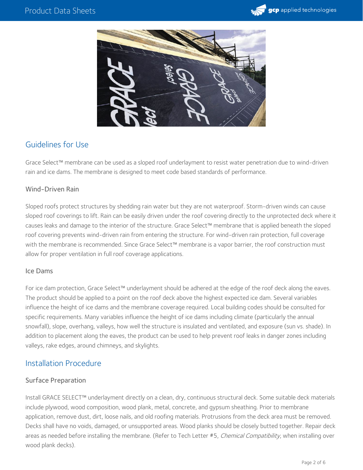



# Guidelines for Use

Grace Select™ membrane can be used as a sloped roof underlayment to resist water penetration due to wind-driven rain and ice dams. The membrane is designed to meet code based standards of performance.

#### Wind-Driven Rain

Sloped roofs protect structures by shedding rain water but they are not waterproof. Storm-driven winds can cause sloped roof coverings to lift. Rain can be easily driven under the roof covering directly to the unprotected deck where it causes leaks and damage to the interior of the structure. Grace Select™ membrane that is applied beneath the sloped roof covering prevents wind-driven rain from entering the structure. For wind-driven rain protection, full coverage with the membrane is recommended. Since Grace Select™ membrane is a vapor barrier, the roof construction must allow for proper ventilation in full roof coverage applications.

#### Ice Dams

For ice dam protection, Grace Select™ underlayment should be adhered at the edge of the roof deck along the eaves. The product should be applied to a point on the roof deck above the highest expected ice dam. Several variables influence the height of ice dams and the membrane coverage required. Local building codes should be consulted for specific requirements. Many variables influence the height of ice dams including climate (particularly the annual snowfall), slope, overhang, valleys, how well the structure is insulated and ventilated, and exposure (sun vs. shade). In addition to placement along the eaves, the product can be used to help prevent roof leaks in danger zones including valleys, rake edges, around chimneys, and skylights.

## Installation Procedure

#### Surface Preparation

Install GRACE SELECT™ underlayment directly on a clean, dry, continuous structural deck. Some suitable deck materials include plywood, wood composition, wood plank, metal, concrete, and gypsum sheathing. Prior to membrane application, remove dust, dirt, loose nails, and old roofing materials. Protrusions from the deck area must be removed. Decks shall have no voids, damaged, or unsupported areas. Wood planks should be closely butted together. Repair deck areas as needed before installing the membrane. (Refer to Tech Letter #5, Chemical Compatibility, when installing over wood plank decks).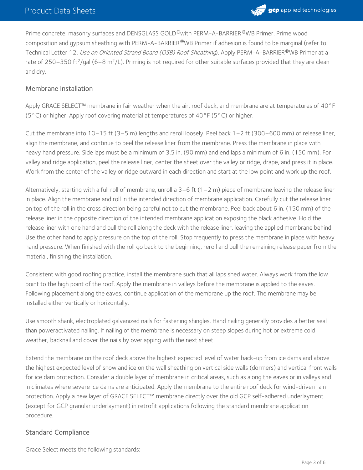

Prime concrete, masonry surfaces and DENSGLASS GOLD®with PERM-A-BARRIER®WB Primer. Prime wood composition and gypsum sheathing with PERM-A-BARRIER®WB Primer if adhesion is found to be marginal (refer to Technical Letter 12, *Use on Oriented Strand Board (OSB) Roof Sheathing*). Apply PERM-A-BARRIER®WB Primer at a rate of 250–350 ft<sup>2</sup>/gal (6–8 m<sup>2</sup>/L). Priming is not required for other suitable surfaces provided that they are clean and dry.

#### Membrane Installation

Apply GRACE SELECT™ membrane in fair weather when the air, roof deck, and membrane are at temperatures of 40°F ( $5^{\circ}$ C) or higher. Apply roof covering material at temperatures of  $40^{\circ}$ F ( $5^{\circ}$ C) or higher.

Cut the membrane into 10–15 ft (3–5 m) lengths and reroll loosely. Peel back 1–2 ft (300–600 mm) of release liner, align the membrane, and continue to peel the release liner from the membrane. Press the membrane in place with heavy hand pressure. Side laps must be a minimum of 3.5 in. (90 mm) and end laps a minimum of 6 in. (150 mm). For valley and ridge application, peel the release liner, center the sheet over the valley or ridge, drape, and press it in place. Work from the center of the valley or ridge outward in each direction and start at the low point and work up the roof.

Alternatively, starting with a full roll of membrane, unroll a  $3-6$  ft ( $1-2$  m) piece of membrane leaving the release liner in place. Align the membrane and roll in the intended direction of membrane application. Carefully cut the release liner on top of the roll in the cross direction being careful not to cut the membrane. Peel back about 6 in. (150 mm) of the release liner in the opposite direction of the intended membrane application exposing the black adhesive. Hold the release liner with one hand and pull the roll along the deck with the release liner, leaving the applied membrane behind. Use the other hand to apply pressure on the top of the roll. Stop frequently to press the membrane in place with heavy hand pressure. When finished with the roll go back to the beginning, reroll and pull the remaining release paper from the material, finishing the installation.

Consistent with good roofing practice, install the membrane such that all laps shed water. Always work from the low point to the high point of the roof. Apply the membrane in valleys before the membrane is applied to the eaves. Following placement along the eaves, continue application of the membrane up the roof. The membrane may be installed either vertically or horizontally.

Use smooth shank, electroplated galvanized nails for fastening shingles. Hand nailing generally provides a better seal than poweractivated nailing. If nailing of the membrane is necessary on steep slopes during hot or extreme cold weather, backnail and cover the nails by overlapping with the next sheet.

Extend the membrane on the roof deck above the highest expected level of water back-up from ice dams and above the highest expected level of snow and ice on the wall sheathing on vertical side walls (dormers) and vertical front walls for ice dam protection. Consider a double layer of membrane in critical areas, such as along the eaves or in valleys and in climates where severe ice dams are anticipated. Apply the membrane to the entire roof deck for wind-driven rain protection. Apply a new layer of GRACE SELECT™ membrane directly over the old GCP self-adhered underlayment (except for GCP granular underlayment) in retrofit applications following the standard membrane application procedure.

#### Standard Compliance

Grace Select meets the following standards: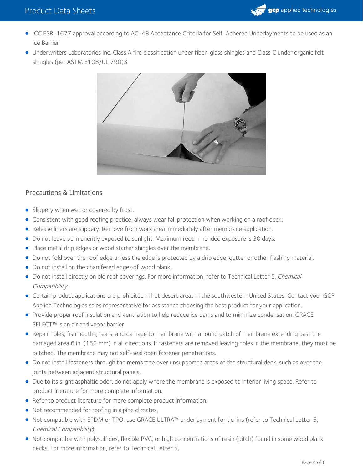- ICC ESR-1677 approval according to AC-48 Acceptance Criteria for Self-Adhered Underlayments to be used as an Ice Barrier
- Underwriters Laboratories Inc. Class A fire classification under fiber-glass shingles and Class C under organic felt shingles (per ASTM E108/UL 790)3



## Precautions & Limitations

- Slippery when wet or covered by frost.
- Consistent with good roofing practice, always wear fall protection when working on a roof deck.
- Release liners are slippery. Remove from work area immediately after membrane application.
- Do not leave permanently exposed to sunlight. Maximum recommended exposure is 30 days.
- Place metal drip edges or wood starter shingles over the membrane.
- Do not fold over the roof edge unless the edge is protected by a drip edge, gutter or other flashing material.
- Do not install on the chamfered edges of wood plank.
- Do not install directly on old roof coverings. For more information, refer to Technical Letter 5, Chemical Compatibility.
- Certain product applications are prohibited in hot desert areas in the southwestern United States. Contact your GCP Applied Technologies sales representative for assistance choosing the best product for your application.
- Provide proper roof insulation and ventilation to help reduce ice dams and to minimize condensation. GRACE SELECT<sup>™</sup> is an air and vapor barrier.
- Repair holes, fishmouths, tears, and damage to membrane with a round patch of membrane extending past the damaged area 6 in. (150 mm) in all directions. If fasteners are removed leaving holes in the membrane, they must be patched. The membrane may not self-seal open fastener penetrations.
- Do not install fasteners through the membrane over unsupported areas of the structural deck, such as over the joints between adjacent structural panels.
- Due to its slight asphaltic odor, do not apply where the membrane is exposed to interior living space. Refer to product literature for more complete information.
- Refer to product literature for more complete product information.
- Not recommended for roofing in alpine climates.
- Not compatible with EPDM or TPO; use GRACE ULTRA™ underlayment for tie-ins (refer to Technical Letter 5, Chemical Compatibility).
- Not compatible with polysulfides, flexible PVC, or high concentrations of resin (pitch) found in some wood plank decks. For more information, refer to Technical Letter 5.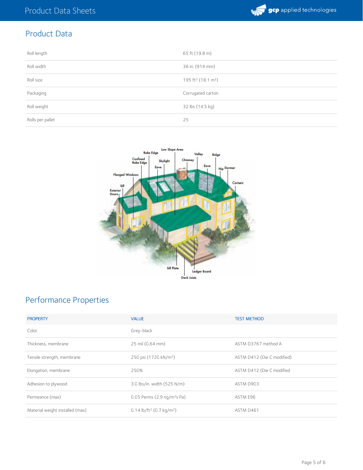

# Product Data

| Roll length      | 65 ft (19.8 m)                             |
|------------------|--------------------------------------------|
| Roll width       | 36 in. (914 mm)                            |
| Roll size        | 195 ft <sup>2</sup> (18.1 m <sup>2</sup> ) |
| Packaging        | Corrugated carton                          |
| Roll weight      | 32 lbs (14.5 kg)                           |
| Rolls per pallet | 25                                         |



# Performance Properties

| <b>PROPERTY</b>                 | <b>VALUE</b>                                     | <b>TEST METHOD</b>         |
|---------------------------------|--------------------------------------------------|----------------------------|
| Color                           | Grey-black                                       |                            |
| Thickness, membrane             | 25 mil (0.64 mm)                                 | ASTM D3767 method A        |
| Tensile strength, membrane      | 250 psi (1720 kN/m <sup>2</sup> )                | ASTM D412 (Die C modified) |
| Elongation, membrane            | 250%                                             | ASTM D412 (Die C modified  |
| Adhesion to plywood             | 3.0 lbs/in. width (525 N/m)                      | ASTM D903                  |
| Permeance (max)                 | 0.05 Perms (2.9 ng/m <sup>2</sup> s Pa)          | ASTM E96                   |
| Material weight installed (max) | 0.14 lb/ft <sup>2</sup> (0.7 kg/m <sup>2</sup> ) | ASTM D461                  |